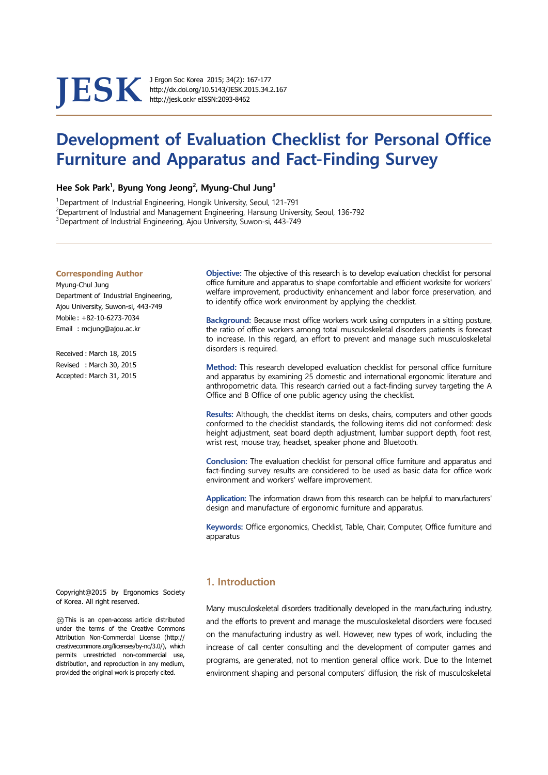# **JESK** J Ergon Soc Korea 2015; 34(2): 167-177<br>http://dx.doi.org/10.5143/JESK.2015.34.<br>http://jesk.or.kr eISSN:2093-8462

http://dx.doi.org/10.5143/JESK.2015.34.2.167 http://jesk.or.kr eISSN:2093-8462

# **Development of Evaluation Checklist for Personal Office Furniture and Apparatus and Fact-Finding Survey**

Hee Sok Park<sup>1</sup>, Byung Yong Jeong<sup>2</sup>, Myung-Chul Jung<sup>3</sup>

<sup>1</sup> Department of Industrial Engineering, Hongik University, Seoul, 121-791<br><sup>2</sup> Department of Industrial and Management Engineering, Hansung Univer

 $^2$ Department of Industrial and Management Engineering, Hansung University, Seoul, 136-792

<sup>3</sup> Department of Industrial Engineering, Ajou University, Suwon-si, 443-749

#### **Corresponding Author**

Myung-Chul Jung Department of Industrial Engineering, Ajou University, Suwon-si, 443-749 Mobile : +82-10-6273-7034 Email : mcjung@ajou.ac.kr

Received : March 18, 2015 Revised : March 30, 2015 Accepted : March 31, 2015

 **Objective:** The objective of this research is to develop evaluation checklist for personal office furniture and apparatus to shape comfortable and efficient worksite for workers' welfare improvement, productivity enhancement and labor force preservation, and to identify office work environment by applying the checklist.

**Background:** Because most office workers work using computers in a sitting posture, the ratio of office workers among total musculoskeletal disorders patients is forecast to increase. In this regard, an effort to prevent and manage such musculoskeletal disorders is required.

**Method:** This research developed evaluation checklist for personal office furniture and apparatus by examining 25 domestic and international ergonomic literature and anthropometric data. This research carried out a fact-finding survey targeting the A Office and B Office of one public agency using the checklist.

**Results:** Although, the checklist items on desks, chairs, computers and other goods conformed to the checklist standards, the following items did not conformed: desk height adjustment, seat board depth adjustment, lumbar support depth, foot rest, wrist rest, mouse tray, headset, speaker phone and Bluetooth.

**Conclusion:** The evaluation checklist for personal office furniture and apparatus and fact-finding survey results are considered to be used as basic data for office work environment and workers' welfare improvement.

**Application:** The information drawn from this research can be helpful to manufacturers' design and manufacture of ergonomic furniture and apparatus.

**Keywords:** Office ergonomics, Checklist, Table, Chair, Computer, Office furniture and apparatus

Copyright@2015 by Ergonomics Society of Korea. All right reserved.

○cc This is an open-access article distributed under the terms of the Creative Commons Attribution Non-Commercial License (http:// creativecommons.org/licenses/by-nc/3.0/), which permits unrestricted non-commercial use, distribution, and reproduction in any medium, provided the original work is properly cited.

# **1. Introduction**

Many musculoskeletal disorders traditionally developed in the manufacturing industry, and the efforts to prevent and manage the musculoskeletal disorders were focused on the manufacturing industry as well. However, new types of work, including the increase of call center consulting and the development of computer games and programs, are generated, not to mention general office work. Due to the Internet environment shaping and personal computers' diffusion, the risk of musculoskeletal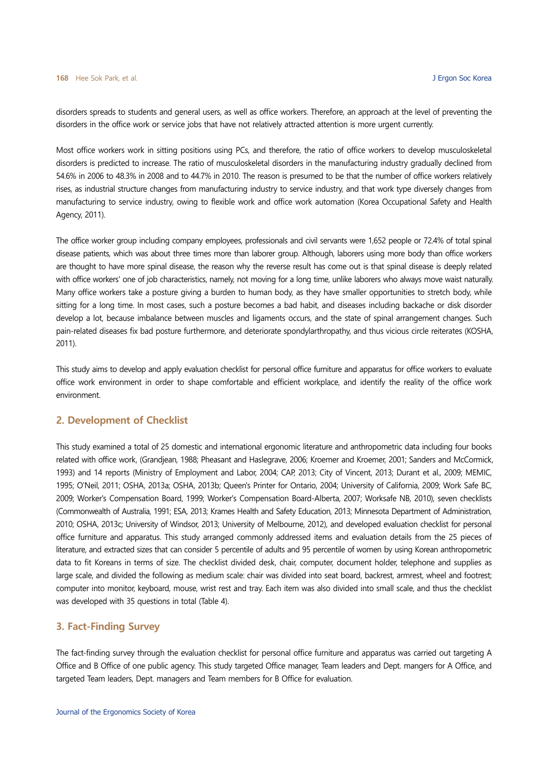disorders spreads to students and general users, as well as office workers. Therefore, an approach at the level of preventing the disorders in the office work or service jobs that have not relatively attracted attention is more urgent currently.

Most office workers work in sitting positions using PCs, and therefore, the ratio of office workers to develop musculoskeletal disorders is predicted to increase. The ratio of musculoskeletal disorders in the manufacturing industry gradually declined from 54.6% in 2006 to 48.3% in 2008 and to 44.7% in 2010. The reason is presumed to be that the number of office workers relatively rises, as industrial structure changes from manufacturing industry to service industry, and that work type diversely changes from manufacturing to service industry, owing to flexible work and office work automation (Korea Occupational Safety and Health Agency, 2011).

The office worker group including company employees, professionals and civil servants were 1,652 people or 72.4% of total spinal disease patients, which was about three times more than laborer group. Although, laborers using more body than office workers are thought to have more spinal disease, the reason why the reverse result has come out is that spinal disease is deeply related with office workers' one of job characteristics, namely, not moving for a long time, unlike laborers who always move waist naturally. Many office workers take a posture giving a burden to human body, as they have smaller opportunities to stretch body, while sitting for a long time. In most cases, such a posture becomes a bad habit, and diseases including backache or disk disorder develop a lot, because imbalance between muscles and ligaments occurs, and the state of spinal arrangement changes. Such pain-related diseases fix bad posture furthermore, and deteriorate spondylarthropathy, and thus vicious circle reiterates (KOSHA, 2011).

This study aims to develop and apply evaluation checklist for personal office furniture and apparatus for office workers to evaluate office work environment in order to shape comfortable and efficient workplace, and identify the reality of the office work environment.

# **2. Development of Checklist**

This study examined a total of 25 domestic and international ergonomic literature and anthropometric data including four books related with office work, (Grandjean, 1988; Pheasant and Haslegrave, 2006; Kroemer and Kroemer, 2001; Sanders and McCormick, 1993) and 14 reports (Ministry of Employment and Labor, 2004; CAP, 2013; City of Vincent, 2013; Durant et al., 2009; MEMIC, 1995; O'Neil, 2011; OSHA, 2013a; OSHA, 2013b; Queen's Printer for Ontario, 2004; University of California, 2009; Work Safe BC, 2009; Worker's Compensation Board, 1999; Worker's Compensation Board-Alberta, 2007; Worksafe NB, 2010), seven checklists (Commonwealth of Australia, 1991; ESA, 2013; Krames Health and Safety Education, 2013; Minnesota Department of Administration, 2010; OSHA, 2013c; University of Windsor, 2013; University of Melbourne, 2012), and developed evaluation checklist for personal office furniture and apparatus. This study arranged commonly addressed items and evaluation details from the 25 pieces of literature, and extracted sizes that can consider 5 percentile of adults and 95 percentile of women by using Korean anthropometric data to fit Koreans in terms of size. The checklist divided desk, chair, computer, document holder, telephone and supplies as large scale, and divided the following as medium scale: chair was divided into seat board, backrest, armrest, wheel and footrest; computer into monitor, keyboard, mouse, wrist rest and tray. Each item was also divided into small scale, and thus the checklist was developed with 35 questions in total (Table 4).

#### **3. Fact-Finding Survey**

The fact-finding survey through the evaluation checklist for personal office furniture and apparatus was carried out targeting A Office and B Office of one public agency. This study targeted Office manager, Team leaders and Dept. mangers for A Office, and targeted Team leaders, Dept. managers and Team members for B Office for evaluation.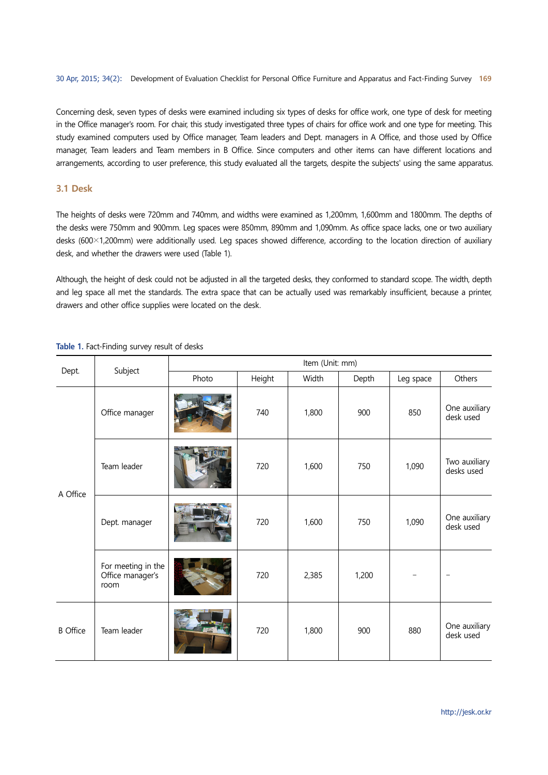Concerning desk, seven types of desks were examined including six types of desks for office work, one type of desk for meeting in the Office manager's room. For chair, this study investigated three types of chairs for office work and one type for meeting. This study examined computers used by Office manager, Team leaders and Dept. managers in A Office, and those used by Office manager, Team leaders and Team members in B Office. Since computers and other items can have different locations and arrangements, according to user preference, this study evaluated all the targets, despite the subjects' using the same apparatus.

#### **3.1 Desk**

The heights of desks were 720mm and 740mm, and widths were examined as 1,200mm, 1,600mm and 1800mm. The depths of the desks were 750mm and 900mm. Leg spaces were 850mm, 890mm and 1,090mm. As office space lacks, one or two auxiliary desks (600×1,200mm) were additionally used. Leg spaces showed difference, according to the location direction of auxiliary desk, and whether the drawers were used (Table 1).

Although, the height of desk could not be adjusted in all the targeted desks, they conformed to standard scope. The width, depth and leg space all met the standards. The extra space that can be actually used was remarkably insufficient, because a printer, drawers and other office supplies were located on the desk.

|                 |                                                | Item (Unit: mm) |        |       |       |           |                             |  |  |  |
|-----------------|------------------------------------------------|-----------------|--------|-------|-------|-----------|-----------------------------|--|--|--|
| Dept.           | Subject                                        | Photo           | Height | Width | Depth | Leg space | Others                      |  |  |  |
| A Office        | Office manager                                 |                 | 740    | 1,800 | 900   | 850       | One auxiliary<br>desk used  |  |  |  |
|                 | Team leader                                    |                 | 720    | 1,600 | 750   | 1,090     | Two auxiliary<br>desks used |  |  |  |
|                 | Dept. manager                                  |                 | 720    | 1,600 | 750   | 1,090     | One auxiliary<br>desk used  |  |  |  |
|                 | For meeting in the<br>Office manager's<br>room |                 | 720    | 2,385 | 1,200 |           | $\overline{\phantom{0}}$    |  |  |  |
| <b>B</b> Office | Team leader                                    |                 | 720    | 1,800 | 900   | 880       | One auxiliary<br>desk used  |  |  |  |

#### **Table 1.** Fact-Finding survey result of desks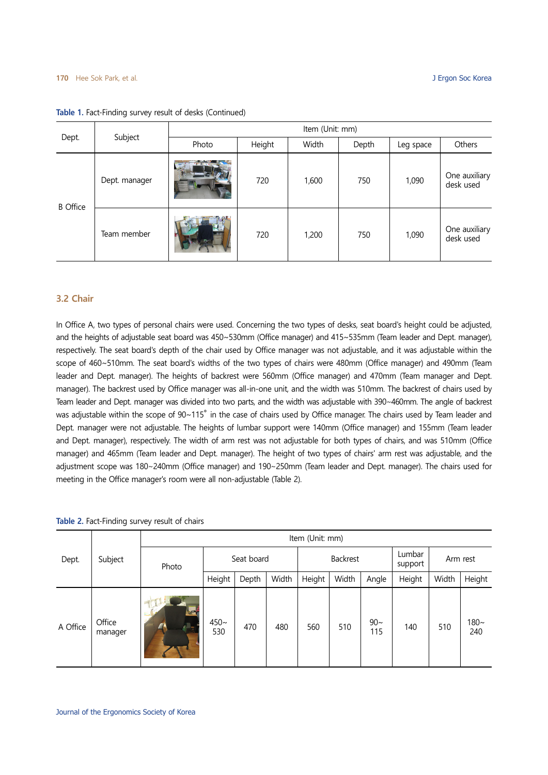#### **170** Hee Sok Park, et al. J Ergon Soc Korea

| Dept.           | Subject       | Item (Unit: mm) |        |       |       |           |                            |  |  |  |
|-----------------|---------------|-----------------|--------|-------|-------|-----------|----------------------------|--|--|--|
|                 |               | Photo           | Height | Width | Depth | Leg space | Others                     |  |  |  |
| <b>B</b> Office | Dept. manager |                 | 720    | 1,600 | 750   | 1,090     | One auxiliary<br>desk used |  |  |  |
|                 | Team member   |                 | 720    | 1,200 | 750   | 1,090     | One auxiliary<br>desk used |  |  |  |

#### **Table 1.** Fact-Finding survey result of desks (Continued)

# **3.2 Chair**

In Office A, two types of personal chairs were used. Concerning the two types of desks, seat board's height could be adjusted, and the heights of adjustable seat board was 450~530mm (Office manager) and 415~535mm (Team leader and Dept. manager), respectively. The seat board's depth of the chair used by Office manager was not adjustable, and it was adjustable within the scope of 460~510mm. The seat board's widths of the two types of chairs were 480mm (Office manager) and 490mm (Team leader and Dept. manager). The heights of backrest were 560mm (Office manager) and 470mm (Team manager and Dept. manager). The backrest used by Office manager was all-in-one unit, and the width was 510mm. The backrest of chairs used by Team leader and Dept. manager was divided into two parts, and the width was adjustable with 390∼460mm. The angle of backrest was adjustable within the scope of 90~115° in the case of chairs used by Office manager. The chairs used by Team leader and Dept. manager were not adjustable. The heights of lumbar support were 140mm (Office manager) and 155mm (Team leader and Dept. manager), respectively. The width of arm rest was not adjustable for both types of chairs, and was 510mm (Office manager) and 465mm (Team leader and Dept. manager). The height of two types of chairs' arm rest was adjustable, and the adjustment scope was 180∼240mm (Office manager) and 190∼250mm (Team leader and Dept. manager). The chairs used for meeting in the Office manager's room were all non-adjustable (Table 2).

| Table 2. Fact-Finding survey result of chairs |  |  |  |
|-----------------------------------------------|--|--|--|
|-----------------------------------------------|--|--|--|

|          | Subject           | Item (Unit: mm) |               |       |          |        |       |                   |          |       |                |  |
|----------|-------------------|-----------------|---------------|-------|----------|--------|-------|-------------------|----------|-------|----------------|--|
| Dept.    |                   | Photo           | Seat board    |       | Backrest |        |       | Lumbar<br>support | Arm rest |       |                |  |
|          |                   |                 | Height        | Depth | Width    | Height | Width | Angle             | Height   | Width | Height         |  |
| A Office | Office<br>manager | E               | $450-$<br>530 | 470   | 480      | 560    | 510   | $90-$<br>115      | 140      | 510   | $180 -$<br>240 |  |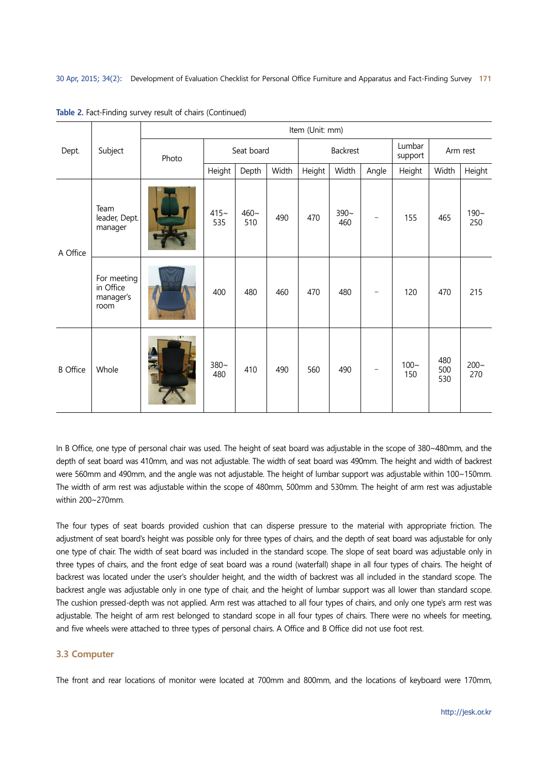|                 | Subject                                       | Item (Unit: mm) |                |               |       |          |                |                          |                               |                   |                |  |
|-----------------|-----------------------------------------------|-----------------|----------------|---------------|-------|----------|----------------|--------------------------|-------------------------------|-------------------|----------------|--|
| Dept.           |                                               | Photo           | Seat board     |               |       | Backrest |                |                          | Lumbar<br>Arm rest<br>support |                   |                |  |
|                 |                                               |                 | Height         | Depth         | Width | Height   | Width          | Angle                    | Height                        | Width             | Height         |  |
| A Office        | Team<br>leader, Dept.<br>manager              |                 | $415 -$<br>535 | $460-$<br>510 | 490   | 470      | $390 -$<br>460 | $\overline{\phantom{0}}$ | 155                           | 465               | $190 -$<br>250 |  |
|                 | For meeting<br>in Office<br>manager's<br>room |                 | 400            | 480           | 460   | 470      | 480            | $\overline{\phantom{0}}$ | 120                           | 470               | 215            |  |
| <b>B</b> Office | Whole                                         |                 | $380 -$<br>480 | 410           | 490   | 560      | 490            |                          | $100 -$<br>150                | 480<br>500<br>530 | $200 -$<br>270 |  |

**Table 2.** Fact-Finding survey result of chairs (Continued)

In B Office, one type of personal chair was used. The height of seat board was adjustable in the scope of 380~480mm, and the depth of seat board was 410mm, and was not adjustable. The width of seat board was 490mm. The height and width of backrest were 560mm and 490mm, and the angle was not adjustable. The height of lumbar support was adjustable within 100~150mm. The width of arm rest was adjustable within the scope of 480mm, 500mm and 530mm. The height of arm rest was adjustable within 200~270mm.

The four types of seat boards provided cushion that can disperse pressure to the material with appropriate friction. The adjustment of seat board's height was possible only for three types of chairs, and the depth of seat board was adjustable for only one type of chair. The width of seat board was included in the standard scope. The slope of seat board was adjustable only in three types of chairs, and the front edge of seat board was a round (waterfall) shape in all four types of chairs. The height of backrest was located under the user's shoulder height, and the width of backrest was all included in the standard scope. The backrest angle was adjustable only in one type of chair, and the height of lumbar support was all lower than standard scope. The cushion pressed-depth was not applied. Arm rest was attached to all four types of chairs, and only one type's arm rest was adjustable. The height of arm rest belonged to standard scope in all four types of chairs. There were no wheels for meeting, and five wheels were attached to three types of personal chairs. A Office and B Office did not use foot rest.

# **3.3 Computer**

The front and rear locations of monitor were located at 700mm and 800mm, and the locations of keyboard were 170mm,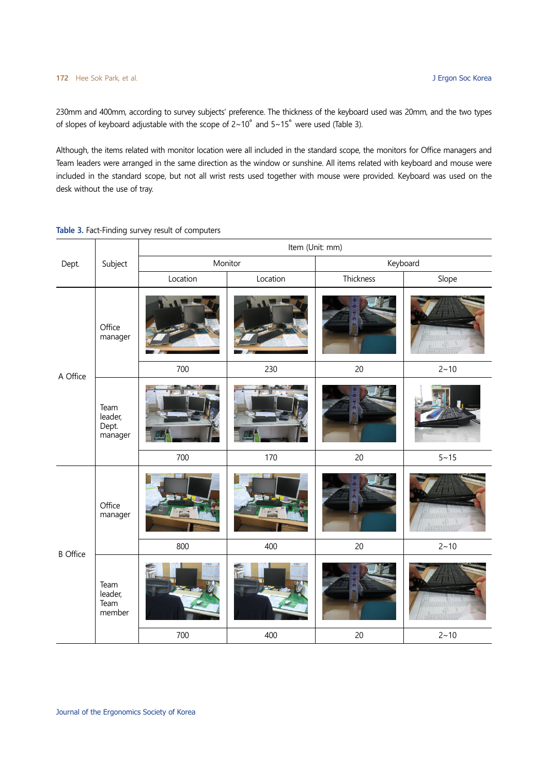230mm and 400mm, according to survey subjects' preference. The thickness of the keyboard used was 20mm, and the two types of slopes of keyboard adjustable with the scope of 2~10° and 5~15° were used (Table 3).

Although, the items related with monitor location were all included in the standard scope, the monitors for Office managers and Team leaders were arranged in the same direction as the window or sunshine. All items related with keyboard and mouse were included in the standard scope, but not all wrist rests used together with mouse were provided. Keyboard was used on the desk without the use of tray.

|                 |                                     | Item (Unit: mm) |          |           |          |  |  |  |  |  |
|-----------------|-------------------------------------|-----------------|----------|-----------|----------|--|--|--|--|--|
| Dept.           | Subject                             |                 | Monitor  | Keyboard  |          |  |  |  |  |  |
|                 |                                     | Location        | Location | Thickness | Slope    |  |  |  |  |  |
|                 | Office<br>manager                   |                 |          |           |          |  |  |  |  |  |
| A Office        |                                     | 700             | 230      | 20        | $2 - 10$ |  |  |  |  |  |
|                 | Team<br>leader,<br>Dept.<br>manager |                 |          |           |          |  |  |  |  |  |
|                 |                                     | 700             | 170      | 20        | $5 - 15$ |  |  |  |  |  |
|                 | Office<br>manager                   |                 |          |           |          |  |  |  |  |  |
| <b>B</b> Office |                                     | 800             | 400      | 20        | $2 - 10$ |  |  |  |  |  |
|                 | Team<br>leader,<br>Team<br>member   | 700             | 400      | 20        | $2 - 10$ |  |  |  |  |  |
|                 |                                     |                 |          |           |          |  |  |  |  |  |

**Table 3.** Fact-Finding survey result of computers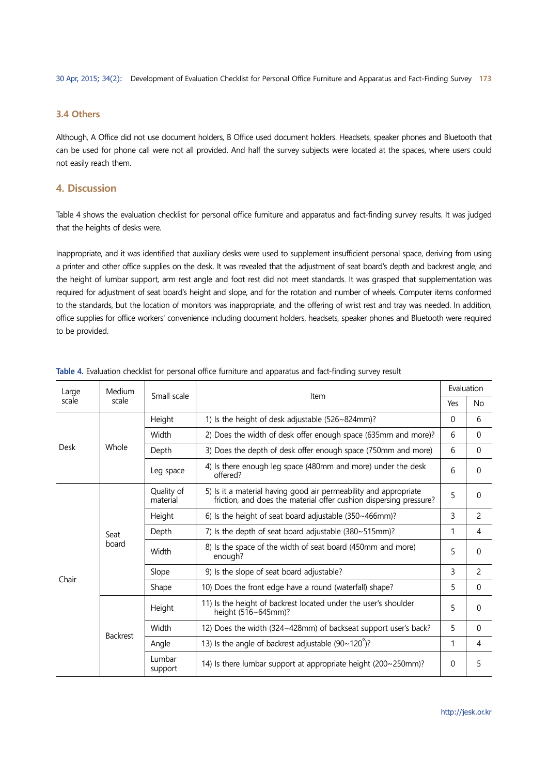#### **3.4 Others**

Although, A Office did not use document holders, B Office used document holders. Headsets, speaker phones and Bluetooth that can be used for phone call were not all provided. And half the survey subjects were located at the spaces, where users could not easily reach them.

# **4. Discussion**

Table 4 shows the evaluation checklist for personal office furniture and apparatus and fact-finding survey results. It was judged that the heights of desks were.

Inappropriate, and it was identified that auxiliary desks were used to supplement insufficient personal space, deriving from using a printer and other office supplies on the desk. It was revealed that the adjustment of seat board's depth and backrest angle, and the height of lumbar support, arm rest angle and foot rest did not meet standards. It was grasped that supplementation was required for adjustment of seat board's height and slope, and for the rotation and number of wheels. Computer items conformed to the standards, but the location of monitors was inappropriate, and the offering of wrist rest and tray was needed. In addition, office supplies for office workers' convenience including document holders, headsets, speaker phones and Bluetooth were required to be provided.

| Large | Medium          | Small scale            |                                                                                                                                        | Evaluation |                |
|-------|-----------------|------------------------|----------------------------------------------------------------------------------------------------------------------------------------|------------|----------------|
| scale | scale           |                        | Item                                                                                                                                   | Yes        | No             |
|       |                 | Height                 | 1) Is the height of desk adjustable (526~824mm)?                                                                                       | $\Omega$   | 6              |
|       |                 | Width                  | 2) Does the width of desk offer enough space (635mm and more)?                                                                         | 6          | $\Omega$       |
| Desk  | Whole           | Depth                  | 3) Does the depth of desk offer enough space (750mm and more)                                                                          | 6          | $\Omega$       |
|       |                 | Leg space              | 4) Is there enough leg space (480mm and more) under the desk<br>offered?                                                               | 6          | $\theta$       |
|       | Seat            | Quality of<br>material | 5) Is it a material having good air permeability and appropriate<br>friction, and does the material offer cushion dispersing pressure? | 5          | $\theta$       |
|       |                 | Height                 | 6) Is the height of seat board adjustable $(350~466$ mm)?                                                                              | 3          | $\overline{c}$ |
|       |                 | Depth                  | 7) Is the depth of seat board adjustable (380~515mm)?                                                                                  | 1          | 4              |
|       | board           | Width                  | 8) Is the space of the width of seat board (450mm and more)<br>enough?                                                                 | 5          | $\Omega$       |
| Chair |                 | Slope                  | 9) Is the slope of seat board adjustable?                                                                                              | 3          | $\overline{c}$ |
|       |                 | Shape                  | 10) Does the front edge have a round (waterfall) shape?                                                                                | 5          | $\theta$       |
|       |                 | Height                 | 11) Is the height of backrest located under the user's shoulder<br>height $(516~645$ mm)?                                              | 5          | $\Omega$       |
|       | <b>Backrest</b> | Width                  | 12) Does the width (324~428mm) of backseat support user's back?                                                                        | 5          | $\Omega$       |
|       |                 | Angle                  | 13) Is the angle of backrest adjustable $(90~120^{\circ})$ ?                                                                           | 1          | 4              |
|       |                 | Lumbar<br>support      | 14) Is there lumbar support at appropriate height (200~250mm)?                                                                         | $\Omega$   | 5              |

| Table 4. Evaluation checklist for personal office furniture and apparatus and fact-finding survey result |  |  |
|----------------------------------------------------------------------------------------------------------|--|--|
|                                                                                                          |  |  |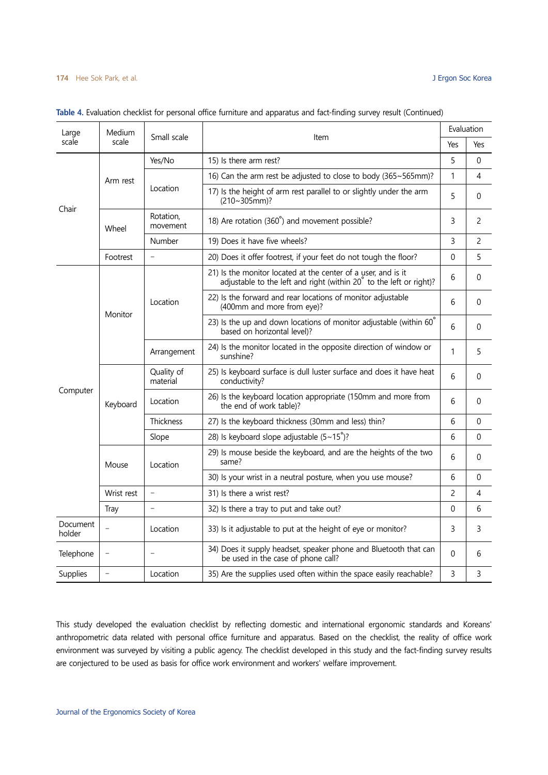#### **174** Hee Sok Park, et al. J Ergon Soc Korea

| Large                     | Medium            |                          |                                                                                                                                      |              | Evaluation     |
|---------------------------|-------------------|--------------------------|--------------------------------------------------------------------------------------------------------------------------------------|--------------|----------------|
| scale<br>scale            |                   | Small scale              | Item                                                                                                                                 | Yes          | Yes            |
| Chair                     |                   | Yes/No                   | 15) Is there arm rest?                                                                                                               | 5            | $\Omega$       |
|                           | Arm rest          |                          | 16) Can the arm rest be adjusted to close to body (365~565mm)?                                                                       | $\mathbf{1}$ | $\overline{4}$ |
|                           |                   | Location                 | 17) Is the height of arm rest parallel to or slightly under the arm<br>$(210~305mm)$ ?                                               | 5            | $\mathbf 0$    |
|                           | Wheel             | Rotation,<br>movement    | 18) Are rotation (360°) and movement possible?                                                                                       | 3            | 2              |
|                           |                   | Number                   | 19) Does it have five wheels?                                                                                                        | 3            | 2              |
|                           | Footrest          | $\overline{a}$           | 20) Does it offer footrest, if your feet do not tough the floor?                                                                     | 0            | 5              |
|                           |                   |                          | 21) Is the monitor located at the center of a user, and is it<br>adjustable to the left and right (within 20° to the left or right)? | 6            | $\theta$       |
|                           | Monitor           | Location                 | 22) Is the forward and rear locations of monitor adjustable<br>(400mm and more from eye)?                                            |              | $\mathbf{0}$   |
|                           |                   |                          | 23) Is the up and down locations of monitor adjustable (within 60°<br>based on horizontal level)?                                    |              | 0              |
|                           |                   | Arrangement              | 24) Is the monitor located in the opposite direction of window or<br>sunshine?                                                       | 1            | 5              |
|                           | Keyboard          | Quality of<br>material   | 25) Is keyboard surface is dull luster surface and does it have heat<br>conductivity?                                                | 6            | $\Omega$       |
| Computer                  |                   | Location                 | 26) Is the keyboard location appropriate (150mm and more from<br>the end of work table)?                                             | 6            | $\mathbf{0}$   |
|                           |                   | Thickness                | 27) Is the keyboard thickness (30mm and less) thin?                                                                                  | 6            | $\mathbf 0$    |
|                           |                   | Slope                    | 28) Is keyboard slope adjustable (5~15°)?                                                                                            | 6            | $\mathbf 0$    |
|                           | Mouse             | Location                 | 29) Is mouse beside the keyboard, and are the heights of the two<br>same?                                                            | 6            | $\mathbf{0}$   |
|                           |                   |                          | 30) Is your wrist in a neutral posture, when you use mouse?                                                                          | 6            | $\theta$       |
|                           | Wrist rest        | $\overline{a}$           | 31) Is there a wrist rest?                                                                                                           | 2            | 4              |
|                           | Tray              |                          | 32) Is there a tray to put and take out?                                                                                             | 0            | 6              |
| <b>Document</b><br>holder |                   | Location                 | 33) Is it adjustable to put at the height of eye or monitor?                                                                         | 3            | 3              |
| Telephone                 | $\qquad \qquad -$ | $\overline{\phantom{a}}$ | 34) Does it supply headset, speaker phone and Bluetooth that can<br>be used in the case of phone call?                               | 0            | 6              |
| Supplies                  |                   | Location                 | 35) Are the supplies used often within the space easily reachable?                                                                   | 3            | 3              |

#### **Table 4.** Evaluation checklist for personal office furniture and apparatus and fact-finding survey result (Continued)

This study developed the evaluation checklist by reflecting domestic and international ergonomic standards and Koreans' anthropometric data related with personal office furniture and apparatus. Based on the checklist, the reality of office work environment was surveyed by visiting a public agency. The checklist developed in this study and the fact-finding survey results are conjectured to be used as basis for office work environment and workers' welfare improvement.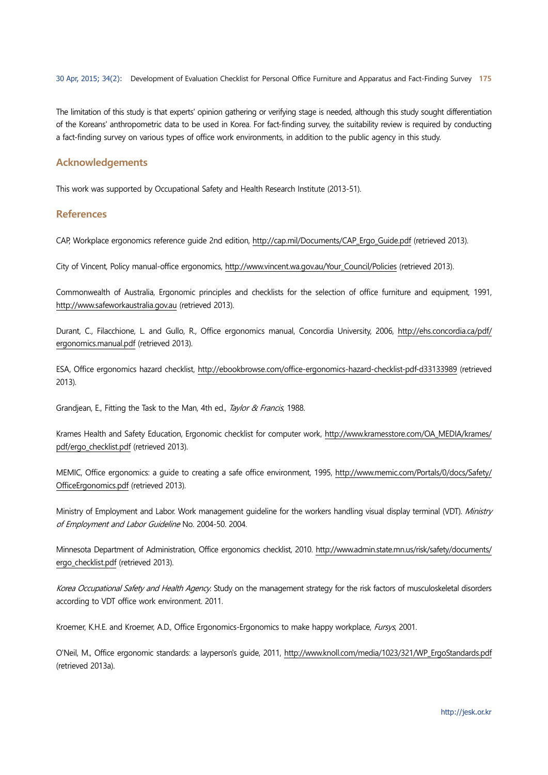The limitation of this study is that experts' opinion gathering or verifying stage is needed, although this study sought differentiation of the Koreans' anthropometric data to be used in Korea. For fact-finding survey, the suitability review is required by conducting a fact-finding survey on various types of office work environments, in addition to the public agency in this study.

## **Acknowledgements**

This work was supported by Occupational Safety and Health Research Institute (2013-51).

#### **References**

CAP, Workplace ergonomics reference guide 2nd edition, http://cap.mil/Documents/CAP\_Ergo\_Guide.pdf (retrieved 2013).

City of Vincent, Policy manual-office ergonomics, http://www.vincent.wa.gov.au/Your\_Council/Policies (retrieved 2013).

Commonwealth of Australia, Ergonomic principles and checklists for the selection of office furniture and equipment, 1991, http://www.safeworkaustralia.gov.au (retrieved 2013).

Durant, C., Filacchione, L. and Gullo, R., Office ergonomics manual, Concordia University, 2006, http://ehs.concordia.ca/pdf/ ergonomics.manual.pdf (retrieved 2013).

ESA, Office ergonomics hazard checklist, http://ebookbrowse.com/office-ergonomics-hazard-checklist-pdf-d33133989 (retrieved 2013).

Grandjean, E., Fitting the Task to the Man, 4th ed., Taylor & Francis, 1988.

Krames Health and Safety Education, Ergonomic checklist for computer work, http://www.kramesstore.com/OA\_MEDIA/krames/ pdf/ergo\_checklist.pdf (retrieved 2013).

MEMIC, Office ergonomics: a guide to creating a safe office environment, 1995, http://www.memic.com/Portals/0/docs/Safety/ OfficeErgonomics.pdf (retrieved 2013).

Ministry of Employment and Labor. Work management guideline for the workers handling visual display terminal (VDT). Ministry of Employment and Labor Guideline No. 2004-50. 2004.

Minnesota Department of Administration, Office ergonomics checklist, 2010. http://www.admin.state.mn.us/risk/safety/documents/ ergo\_checklist.pdf (retrieved 2013).

Korea Occupational Safety and Health Agency. Study on the management strategy for the risk factors of musculoskeletal disorders according to VDT office work environment. 2011.

Kroemer, K.H.E. and Kroemer, A.D., Office Ergonomics-Ergonomics to make happy workplace, Fursys, 2001.

O'Neil, M., Office ergonomic standards: a layperson's guide, 2011, http://www.knoll.com/media/1023/321/WP\_ErgoStandards.pdf (retrieved 2013a).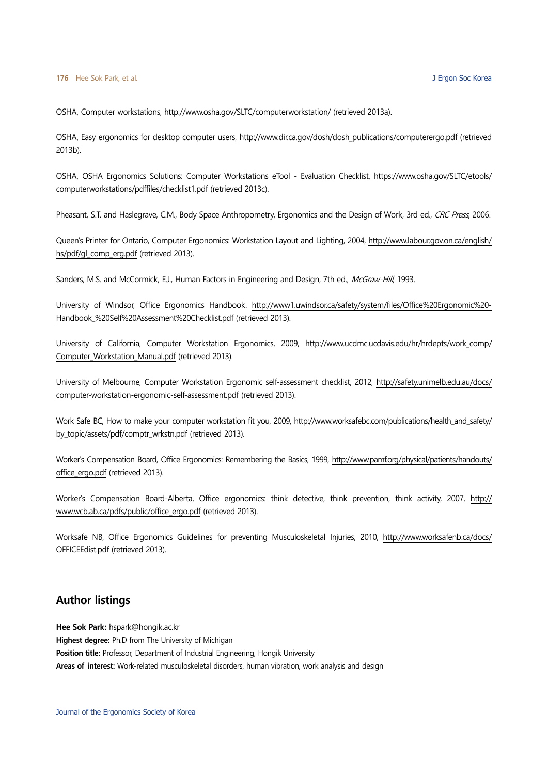OSHA, Computer workstations, http://www.osha.gov/SLTC/computerworkstation/ (retrieved 2013a).

OSHA, Easy ergonomics for desktop computer users, http://www.dir.ca.gov/dosh/dosh\_publications/computerergo.pdf (retrieved 2013b).

OSHA, OSHA Ergonomics Solutions: Computer Workstations eTool - Evaluation Checklist, https://www.osha.gov/SLTC/etools/ computerworkstations/pdffiles/checklist1.pdf (retrieved 2013c).

Pheasant, S.T. and Haslegrave, C.M., Body Space Anthropometry, Ergonomics and the Design of Work, 3rd ed., CRC Press, 2006.

Queen's Printer for Ontario, Computer Ergonomics: Workstation Layout and Lighting, 2004, http://www.labour.gov.on.ca/english/ hs/pdf/gl\_comp\_erg.pdf (retrieved 2013).

Sanders, M.S. and McCormick, E.J., Human Factors in Engineering and Design, 7th ed., McGraw-Hill, 1993.

University of Windsor, Office Ergonomics Handbook. http://www1.uwindsor.ca/safety/system/files/Office%20Ergonomic%20- Handbook %20Self%20Assessment%20Checklist.pdf (retrieved 2013).

University of California, Computer Workstation Ergonomics, 2009, http://www.ucdmc.ucdavis.edu/hr/hrdepts/work\_comp/ Computer\_Workstation\_Manual.pdf (retrieved 2013).

University of Melbourne, Computer Workstation Ergonomic self-assessment checklist, 2012, http://safety.unimelb.edu.au/docs/ computer-workstation-ergonomic-self-assessment.pdf (retrieved 2013).

Work Safe BC, How to make your computer workstation fit you, 2009, http://www.worksafebc.com/publications/health\_and\_safety/ by\_topic/assets/pdf/comptr\_wrkstn.pdf (retrieved 2013).

Worker's Compensation Board, Office Ergonomics: Remembering the Basics, 1999, http://www.pamf.org/physical/patients/handouts/ office\_ergo.pdf (retrieved 2013).

Worker's Compensation Board-Alberta, Office ergonomics: think detective, think prevention, think activity, 2007, http:// www.wcb.ab.ca/pdfs/public/office\_ergo.pdf (retrieved 2013).

Worksafe NB, Office Ergonomics Guidelines for preventing Musculoskeletal Injuries, 2010, http://www.worksafenb.ca/docs/ OFFICEEdist.pdf (retrieved 2013).

# **Author listings**

**Hee Sok Park:** hspark@hongik.ac.kr **Highest degree:** Ph.D from The University of Michigan **Position title:** Professor, Department of Industrial Engineering, Hongik University **Areas of interest:** Work-related musculoskeletal disorders, human vibration, work analysis and design